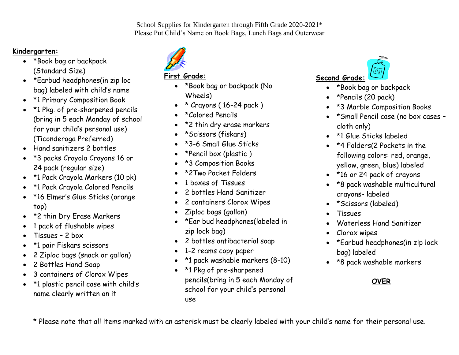#### School Supplies for Kindergarten through Fifth Grade 2020-2021\* Please Put Child's Name on Book Bags, Lunch Bags and Outerwear

### **Kindergarten:**

- \*Book bag or backpack (Standard Size)
- \*Earbud headphones(in zip loc bag) labeled with child's name
- \*1 Primary Composition Book
- \*1 Pkg. of pre-sharpened pencils (bring in 5 each Monday of school for your child's personal use) (Ticonderoga Preferred)
- Hand sanitizers 2 bottles
- \*3 packs Crayola Crayons 16 or 24 pack (regular size)
- \* 1 Pack Crayola Markers (10 pk)
- \*1 Pack Crayola Colored Pencils
- \*16 Elmer's Glue Sticks (orange top)
- \*2 thin Dry Erase Markers
- 1 pack of flushable wipes
- Tissues 2 box
- \*1 pair Fiskars scissors
- 2 Ziploc bags (snack or gallon)
- 2 Bottles Hand Soap
- 3 containers of Clorox Wipes
- \*1 plastic pencil case with child's name clearly written on it



### **First Grade:**

- \*Book bag or backpack (No Wheels)
- \* Crayons ( 16-24 pack )
- \*Colored Pencils
- \*2 thin dry erase markers
- \*Scissors (fiskars)
- \*3-6 Small Glue Sticks
- \*Pencil box (plastic )
- \*3 Composition Books
- \*2Two Pocket Folders
- 1 boxes of Tissues
- 2 bottles Hand Sanitizer
- 2 containers Clorox Wipes
- Ziploc bags (gallon)
- \*Ear bud headphones(labeled in zip lock bag)
- 2 bottles antibacterial soap
- 1-2 reams copy paper
- \*1 pack washable markers (8-10)
- \*1 Pkg of pre-sharpened pencils(bring in 5 each Monday of school for your child's personal use



- \*Book bag or backpack
- \*Pencils (20 pack)
- \*3 Marble Composition Books
- \*Small Pencil case (no box cases cloth only)
- \*1 Glue Sticks labeled
- \*4 Folders(2 Pockets in the following colors: red, orange, yellow, green, blue) labeled
- \*16 or 24 pack of crayons
- \*8 pack washable multicultural crayons- labeled
- \*Scissors (labeled)
- Tissues
- Waterless Hand Sanitizer
- Clorox wipes
- \*Earbud headphones(in zip lock bag) labeled
- \*8 pack washable markers

## **OVER**

\* Please note that all items marked with an asterisk must be clearly labeled with your child's name for their personal use.